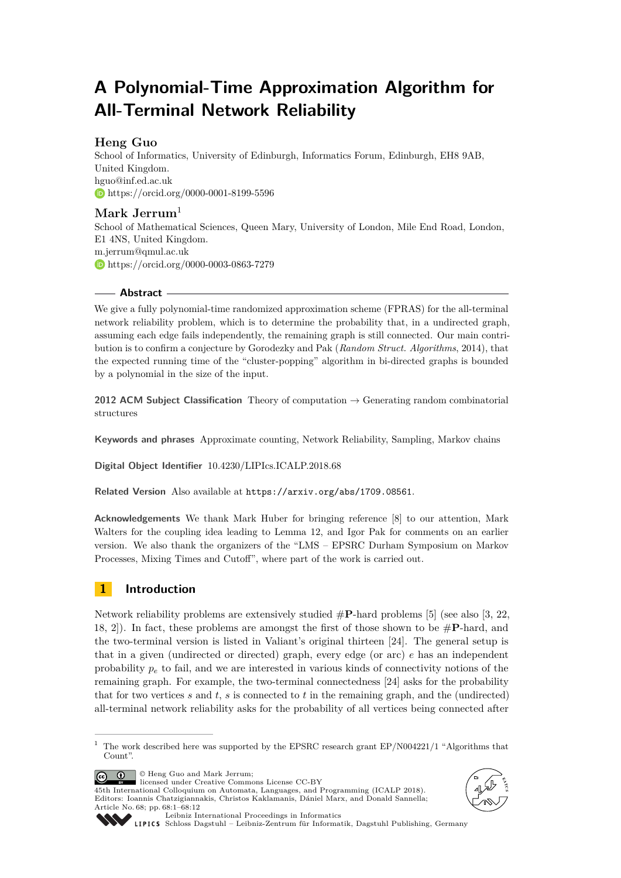# **A Polynomial-Time Approximation Algorithm for All-Terminal Network Reliability**

# **Heng Guo**

School of Informatics, University of Edinburgh, Informatics Forum, Edinburgh, EH8 9AB, United Kingdom. [hguo@inf.ed.ac.uk](mailto:hguo@inf.ed.ac.uk) <https://orcid.org/0000-0001-8199-5596>

# **Mark Jerrum**<sup>1</sup>

School of Mathematical Sciences, Queen Mary, University of London, Mile End Road, London, E1 4NS, United Kingdom. [m.jerrum@qmul.ac.uk](mailto:m.jerrum@qmul.ac.uk) <https://orcid.org/0000-0003-0863-7279>

## **Abstract**

We give a fully polynomial-time randomized approximation scheme (FPRAS) for the all-terminal network reliability problem, which is to determine the probability that, in a undirected graph, assuming each edge fails independently, the remaining graph is still connected. Our main contribution is to confirm a conjecture by Gorodezky and Pak (*Random Struct. Algorithms*, 2014), that the expected running time of the "cluster-popping" algorithm in bi-directed graphs is bounded by a polynomial in the size of the input.

**2012 ACM Subject Classification** Theory of computation → Generating random combinatorial structures

**Keywords and phrases** Approximate counting, Network Reliability, Sampling, Markov chains

**Digital Object Identifier** [10.4230/LIPIcs.ICALP.2018.68](http://dx.doi.org/10.4230/LIPIcs.ICALP.2018.68)

**Related Version** Also available at <https://arxiv.org/abs/1709.08561>.

**Acknowledgements** We thank Mark Huber for bringing reference [\[8\]](#page-11-0) to our attention, Mark Walters for the coupling idea leading to Lemma [12,](#page-9-0) and Igor Pak for comments on an earlier version. We also thank the organizers of the "LMS – EPSRC Durham Symposium on Markov Processes, Mixing Times and Cutoff", where part of the work is carried out.

# **1 Introduction**

Network reliability problems are extensively studied #**P**-hard problems [\[5\]](#page-11-1) (see also [\[3,](#page-10-0) [22,](#page-11-2) [18,](#page-11-3) [2\]](#page-10-1)). In fact, these problems are amongst the first of those shown to be #**P**-hard, and the two-terminal version is listed in Valiant's original thirteen [\[24\]](#page-11-4). The general setup is that in a given (undirected or directed) graph, every edge (or arc) *e* has an independent probability  $p_e$  to fail, and we are interested in various kinds of connectivity notions of the remaining graph. For example, the two-terminal connectedness [\[24\]](#page-11-4) asks for the probability that for two vertices *s* and *t*, *s* is connected to *t* in the remaining graph, and the (undirected) all-terminal network reliability asks for the probability of all vertices being connected after

© Heng Guo and Mark Jerrum;  $\boxed{6}$   $\boxed{0}$   $\boxed{)}$ 

licensed under Creative Commons License CC-BY 45th International Colloquium on Automata, Languages, and Programming (ICALP 2018). Editors: Ioannis Chatzigiannakis, Christos Kaklamanis, Dániel Marx, and Donald Sannella; Article No. 68; pp. 68:1–68[:12](#page-11-5)





[Leibniz International Proceedings in Informatics](http://www.dagstuhl.de/lipics/)

[Schloss Dagstuhl – Leibniz-Zentrum für Informatik, Dagstuhl Publishing, Germany](http://www.dagstuhl.de)

<sup>&</sup>lt;sup>1</sup> The work described here was supported by the EPSRC research grant EP/N004221/1 "Algorithms that Count".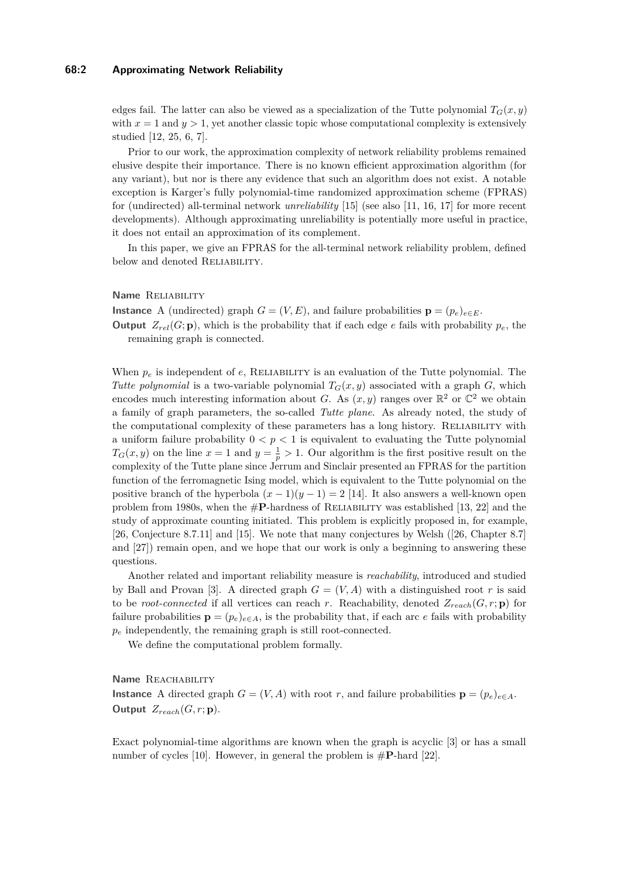#### **68:2 Approximating Network Reliability**

edges fail. The latter can also be viewed as a specialization of the Tutte polynomial  $T_G(x, y)$ with  $x = 1$  and  $y > 1$ , yet another classic topic whose computational complexity is extensively studied [\[12,](#page-11-6) [25,](#page-11-7) [6,](#page-11-8) [7\]](#page-11-9).

Prior to our work, the approximation complexity of network reliability problems remained elusive despite their importance. There is no known efficient approximation algorithm (for any variant), but nor is there any evidence that such an algorithm does not exist. A notable exception is Karger's fully polynomial-time randomized approximation scheme (FPRAS) for (undirected) all-terminal network *unreliability* [\[15\]](#page-11-10) (see also [\[11,](#page-11-11) [16,](#page-11-12) [17\]](#page-11-13) for more recent developments). Although approximating unreliability is potentially more useful in practice, it does not entail an approximation of its complement.

In this paper, we give an FPRAS for the all-terminal network reliability problem, defined below and denoted RELIABILITY.

## **Name** RELIABILITY

**Instance** A (undirected) graph  $G = (V, E)$ , and failure probabilities  $\mathbf{p} = (p_e)_{e \in E}$ .

**Output**  $Z_{rel}(G; \mathbf{p})$ , which is the probability that if each edge *e* fails with probability  $p_e$ , the remaining graph is connected.

When  $p_e$  is independent of  $e$ , RELIABILITY is an evaluation of the Tutte polynomial. The *Tutte polynomial* is a two-variable polynomial  $T_G(x, y)$  associated with a graph *G*, which encodes much interesting information about *G*. As  $(x, y)$  ranges over  $\mathbb{R}^2$  or  $\mathbb{C}^2$  we obtain a family of graph parameters, the so-called *Tutte plane*. As already noted, the study of the computational complexity of these parameters has a long history. Reliability with a uniform failure probability  $0 < p < 1$  is equivalent to evaluating the Tutte polynomial  $T_G(x, y)$  on the line  $x = 1$  and  $y = \frac{1}{p} > 1$ . Our algorithm is the first positive result on the complexity of the Tutte plane since Jerrum and Sinclair presented an FPRAS for the partition function of the ferromagnetic Ising model, which is equivalent to the Tutte polynomial on the positive branch of the hyperbola  $(x - 1)(y - 1) = 2$  [\[14\]](#page-11-14). It also answers a well-known open problem from 1980s, when the  $\#P$ -hardness of RELIABILITY was established [\[13,](#page-11-15) [22\]](#page-11-2) and the study of approximate counting initiated. This problem is explicitly proposed in, for example, [\[26,](#page-11-16) Conjecture 8.7.11] and [\[15\]](#page-11-10). We note that many conjectures by Welsh ([\[26,](#page-11-16) Chapter 8.7] and [\[27\]](#page-11-17)) remain open, and we hope that our work is only a beginning to answering these questions.

Another related and important reliability measure is *reachability*, introduced and studied by Ball and Provan [\[3\]](#page-10-0). A directed graph  $G = (V, A)$  with a distinguished root r is said to be *root-connected* if all vertices can reach *r*. Reachability, denoted  $Z_{reach}(G, r; \mathbf{p})$  for failure probabilities  $\mathbf{p} = (p_e)_{e \in A}$ , is the probability that, if each arc *e* fails with probability *p<sup>e</sup>* independently, the remaining graph is still root-connected.

We define the computational problem formally.

## **Name** REACHABILITY

**Instance** A directed graph  $G = (V, A)$  with root *r*, and failure probabilities  $\mathbf{p} = (p_e)_{e \in A}$ . **Output**  $Z_{reach}(G, r; \mathbf{p}).$ 

Exact polynomial-time algorithms are known when the graph is acyclic [\[3\]](#page-10-0) or has a small number of cycles [\[10\]](#page-11-18). However, in general the problem is #**P**-hard [\[22\]](#page-11-2).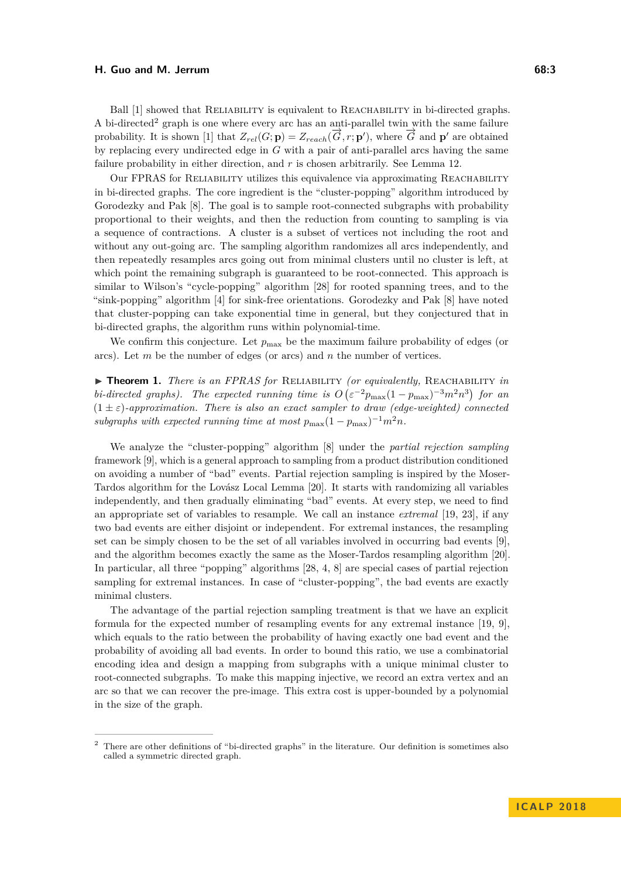#### **H.** Guo and M. Jerrum 68:3

Ball [\[1\]](#page-10-2) showed that RELIABILITY is equivalent to REACHABILITY in bi-directed graphs. A bi-directed<sup>[2](#page-2-0)</sup> graph is one where every arc has an anti-parallel twin with the same failure probability. It is shown [\[1\]](#page-10-2) that  $Z_{rel}(G; \mathbf{p}) = Z_{reach}(\overrightarrow{G}, r; \mathbf{p}')$ , where  $\overrightarrow{G}$  and  $\mathbf{p}'$  are obtained by replacing every undirected edge in *G* with a pair of anti-parallel arcs having the same failure probability in either direction, and *r* is chosen arbitrarily. See Lemma [12.](#page-9-0)

Our FPRAS for Reliability utilizes this equivalence via approximating Reachability in bi-directed graphs. The core ingredient is the "cluster-popping" algorithm introduced by Gorodezky and Pak [\[8\]](#page-11-0). The goal is to sample root-connected subgraphs with probability proportional to their weights, and then the reduction from counting to sampling is via a sequence of contractions. A cluster is a subset of vertices not including the root and without any out-going arc. The sampling algorithm randomizes all arcs independently, and then repeatedly resamples arcs going out from minimal clusters until no cluster is left, at which point the remaining subgraph is guaranteed to be root-connected. This approach is similar to Wilson's "cycle-popping" algorithm [\[28\]](#page-11-19) for rooted spanning trees, and to the "sink-popping" algorithm [\[4\]](#page-11-20) for sink-free orientations. Gorodezky and Pak [\[8\]](#page-11-0) have noted that cluster-popping can take exponential time in general, but they conjectured that in bi-directed graphs, the algorithm runs within polynomial-time.

We confirm this conjecture. Let  $p_{\text{max}}$  be the maximum failure probability of edges (or arcs). Let *m* be the number of edges (or arcs) and *n* the number of vertices.

<span id="page-2-1"></span>I **Theorem 1.** *There is an FPRAS for* Reliability *(or equivalently,* Reachability *in bi-directed graphs). The expected running time is*  $O(\varepsilon^{-2}p_{\text{max}}(1-p_{\text{max}})^{-3}m^2n^3)$  for an  $(1 \pm \varepsilon)$ -approximation. There is also an exact sampler to draw (edge-weighted) connected subgraphs with expected running time at most  $p_{\text{max}}(1 - p_{\text{max}})^{-1}m^2n$ .

We analyze the "cluster-popping" algorithm [\[8\]](#page-11-0) under the *partial rejection sampling* framework [\[9\]](#page-11-21), which is a general approach to sampling from a product distribution conditioned on avoiding a number of "bad" events. Partial rejection sampling is inspired by the Moser-Tardos algorithm for the Lovász Local Lemma [\[20\]](#page-11-22). It starts with randomizing all variables independently, and then gradually eliminating "bad" events. At every step, we need to find an appropriate set of variables to resample. We call an instance *extremal* [\[19,](#page-11-23) [23\]](#page-11-24), if any two bad events are either disjoint or independent. For extremal instances, the resampling set can be simply chosen to be the set of all variables involved in occurring bad events [\[9\]](#page-11-21), and the algorithm becomes exactly the same as the Moser-Tardos resampling algorithm [\[20\]](#page-11-22). In particular, all three "popping" algorithms [\[28,](#page-11-19) [4,](#page-11-20) [8\]](#page-11-0) are special cases of partial rejection sampling for extremal instances. In case of "cluster-popping", the bad events are exactly minimal clusters.

The advantage of the partial rejection sampling treatment is that we have an explicit formula for the expected number of resampling events for any extremal instance [\[19,](#page-11-23) [9\]](#page-11-21), which equals to the ratio between the probability of having exactly one bad event and the probability of avoiding all bad events. In order to bound this ratio, we use a combinatorial encoding idea and design a mapping from subgraphs with a unique minimal cluster to root-connected subgraphs. To make this mapping injective, we record an extra vertex and an arc so that we can recover the pre-image. This extra cost is upper-bounded by a polynomial in the size of the graph.

<span id="page-2-0"></span><sup>2</sup> There are other definitions of "bi-directed graphs" in the literature. Our definition is sometimes also called a symmetric directed graph.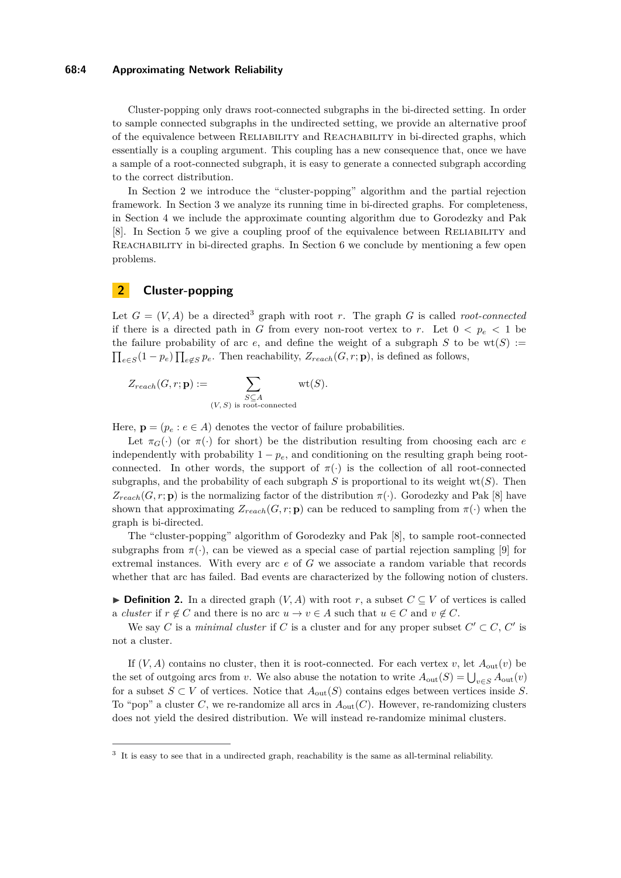#### **68:4 Approximating Network Reliability**

Cluster-popping only draws root-connected subgraphs in the bi-directed setting. In order to sample connected subgraphs in the undirected setting, we provide an alternative proof of the equivalence between Reliability and Reachability in bi-directed graphs, which essentially is a coupling argument. This coupling has a new consequence that, once we have a sample of a root-connected subgraph, it is easy to generate a connected subgraph according to the correct distribution.

In Section [2](#page-3-0) we introduce the "cluster-popping" algorithm and the partial rejection framework. In Section [3](#page-4-0) we analyze its running time in bi-directed graphs. For completeness, in Section [4](#page-7-0) we include the approximate counting algorithm due to Gorodezky and Pak [\[8\]](#page-11-0). In Section [5](#page-8-0) we give a coupling proof of the equivalence between Reliability and Reachability in bi-directed graphs. In Section [6](#page-10-3) we conclude by mentioning a few open problems.

# <span id="page-3-0"></span>**2 Cluster-popping**

Let  $G = (V, A)$  be a directed<sup>[3](#page-3-1)</sup> graph with root *r*. The graph G is called *root-connected* if there is a directed path in *G* from every non-root vertex to *r*. Let  $0 < p_e < 1$  be the failure probability of arc  $e$ , and define the weight of a subgraph  $S$  to be  $wt(S) :=$  $\prod_{e \in S} (1 - p_e) \prod_{e \notin S} p_e$ . Then reachability,  $Z_{reach}(G, r; \mathbf{p})$ , is defined as follows,

$$
Z_{reach}(G,r; \mathbf{p}) := \sum_{\substack{S \subseteq A \\ (V,S) \text{ is root-connected}}} \mathrm{wt}(S).
$$

Here,  $\mathbf{p} = (p_e : e \in A)$  denotes the vector of failure probabilities.

Let  $\pi_G(\cdot)$  (or  $\pi(\cdot)$  for short) be the distribution resulting from choosing each arc *e* independently with probability  $1 - p_e$ , and conditioning on the resulting graph being rootconnected. In other words, the support of  $\pi(\cdot)$  is the collection of all root-connected subgraphs, and the probability of each subgraph  $S$  is proportional to its weight wt( $S$ ). Then  $Z_{reach}(G, r; \mathbf{p})$  is the normalizing factor of the distribution  $\pi(\cdot)$ . Gorodezky and Pak [\[8\]](#page-11-0) have shown that approximating  $Z_{reach}(G, r; \mathbf{p})$  can be reduced to sampling from  $\pi(\cdot)$  when the graph is bi-directed.

The "cluster-popping" algorithm of Gorodezky and Pak [\[8\]](#page-11-0), to sample root-connected subgraphs from  $\pi(\cdot)$ , can be viewed as a special case of partial rejection sampling [\[9\]](#page-11-21) for extremal instances. With every arc *e* of *G* we associate a random variable that records whether that arc has failed. Bad events are characterized by the following notion of clusters.

▶ **Definition 2.** In a directed graph  $(V, A)$  with root *r*, a subset  $C ⊆ V$  of vertices is called a *cluster* if  $r \notin C$  and there is no arc  $u \to v \in A$  such that  $u \in C$  and  $v \notin C$ .

We say *C* is a *minimal cluster* if *C* is a cluster and for any proper subset  $C' \subset C$ ,  $C'$  is not a cluster.

If  $(V, A)$  contains no cluster, then it is root-connected. For each vertex *v*, let  $A_{out}(v)$  be the set of outgoing arcs from *v*. We also abuse the notation to write  $A_{\text{out}}(S) = \bigcup_{v \in S} A_{\text{out}}(v)$ for a subset *S*  $\subset$  *V* of vertices. Notice that  $A_{out}(S)$  contains edges between vertices inside *S*. To "pop" a cluster *C*, we re-randomize all arcs in  $A_{\text{out}}(C)$ . However, re-randomizing clusters does not yield the desired distribution. We will instead re-randomize minimal clusters.

<span id="page-3-2"></span><span id="page-3-1"></span><sup>&</sup>lt;sup>3</sup> It is easy to see that in a undirected graph, reachability is the same as all-terminal reliability.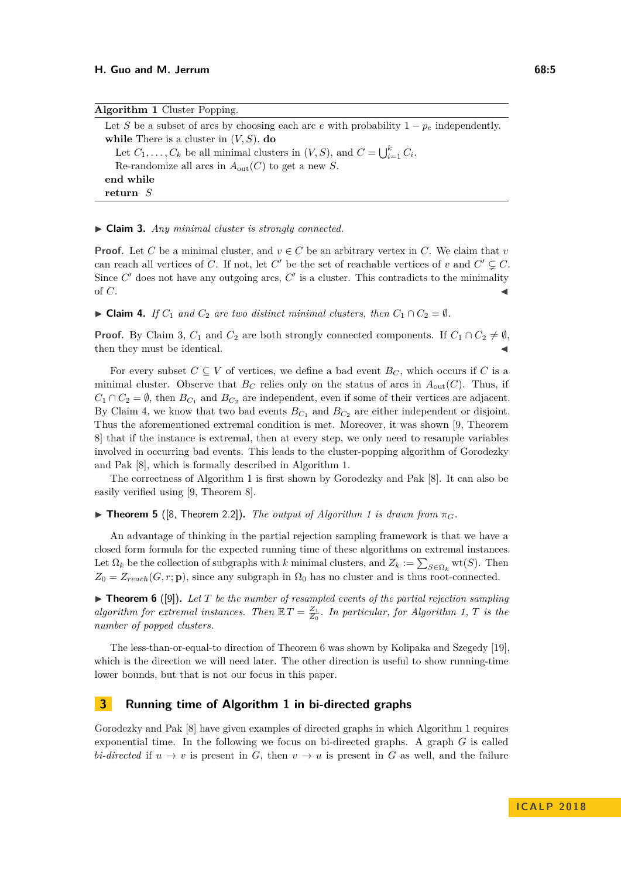<span id="page-4-2"></span>

| <b>Algorithm 1</b> Cluster Popping.                                                          |
|----------------------------------------------------------------------------------------------|
| Let S be a subset of arcs by choosing each arc e with probability $1 - p_e$ independently.   |
| while There is a cluster in $(V, S)$ . do                                                    |
| Let $C_1, \ldots, C_k$ be all minimal clusters in $(V, S)$ , and $C = \bigcup_{i=1}^k C_i$ . |
| Re-randomize all arcs in $A_{\text{out}}(C)$ to get a new S.                                 |
| end while                                                                                    |
| return $S$                                                                                   |

#### ▶ Claim 3. *Any minimal cluster is strongly connected.*

**Proof.** Let *C* be a minimal cluster, and  $v \in C$  be an arbitrary vertex in *C*. We claim that *v* can reach all vertices of *C*. If not, let *C*<sup> $\prime$ </sup> be the set of reachable vertices of *v* and  $C' \subsetneq C$ . Since  $C'$  does not have any outgoing arcs,  $C'$  is a cluster. This contradicts to the minimality of  $C$ .

<span id="page-4-1"></span>► Claim 4. *If*  $C_1$  *and*  $C_2$  *are two distinct minimal clusters, then*  $C_1 \cap C_2 = \emptyset$ *.* 

**Proof.** By Claim [3,](#page-3-2)  $C_1$  and  $C_2$  are both strongly connected components. If  $C_1 \cap C_2 \neq \emptyset$ , then they must be identical.

For every subset  $C \subseteq V$  of vertices, we define a bad event  $B_C$ , which occurs if C is a minimal cluster. Observe that  $B_C$  relies only on the status of arcs in  $A_{out}(C)$ . Thus, if  $C_1 \cap C_2 = \emptyset$ , then  $B_{C_1}$  and  $B_{C_2}$  are independent, even if some of their vertices are adjacent. By Claim [4,](#page-4-1) we know that two bad events  $B_{C_1}$  and  $B_{C_2}$  are either independent or disjoint. Thus the aforementioned extremal condition is met. Moreover, it was shown [\[9,](#page-11-21) Theorem 8] that if the instance is extremal, then at every step, we only need to resample variables involved in occurring bad events. This leads to the cluster-popping algorithm of Gorodezky and Pak [\[8\]](#page-11-0), which is formally described in Algorithm [1.](#page-4-2)

The correctness of Algorithm [1](#page-4-2) is first shown by Gorodezky and Pak [\[8\]](#page-11-0). It can also be easily verified using [\[9,](#page-11-21) Theorem 8].

 $\triangleright$  **Theorem 5** ([\[8,](#page-11-0) Theorem 2.2]). *The output of Algorithm [1](#page-4-2) is drawn from*  $\pi_G$ .

An advantage of thinking in the partial rejection sampling framework is that we have a closed form formula for the expected running time of these algorithms on extremal instances. Let  $\Omega_k$  be the collection of subgraphs with *k* minimal clusters, and  $Z_k := \sum_{S \in \Omega_k} \text{wt}(S)$ . Then  $Z_0 = Z_{reach}(G, r; \mathbf{p})$ , since any subgraph in  $\Omega_0$  has no cluster and is thus root-connected.

<span id="page-4-3"></span> $\triangleright$  **Theorem 6** ([\[9\]](#page-11-21)). Let *T* be the number of resampled events of the partial rejection sampling *algorithm for extremal instances. Then*  $\mathbb{E} T = \frac{Z_1}{Z_0}$ . In particular, for Algorithm [1,](#page-4-2) T is the *number of popped clusters.*

The less-than-or-equal-to direction of Theorem [6](#page-4-3) was shown by Kolipaka and Szegedy [\[19\]](#page-11-23), which is the direction we will need later. The other direction is useful to show running-time lower bounds, but that is not our focus in this paper.

## <span id="page-4-0"></span>**3 Running time of Algorithm [1](#page-4-2) in bi-directed graphs**

Gorodezky and Pak [\[8\]](#page-11-0) have given examples of directed graphs in which Algorithm [1](#page-4-2) requires exponential time. In the following we focus on bi-directed graphs. A graph *G* is called *bi-directed* if  $u \to v$  is present in *G*, then  $v \to u$  is present in *G* as well, and the failure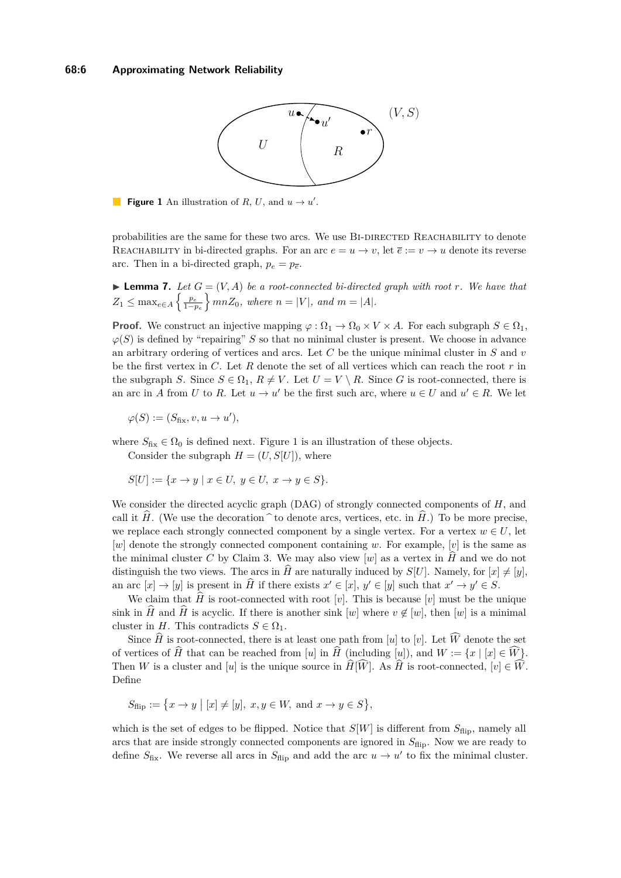<span id="page-5-0"></span>

**Figure 1** An illustration of *R*, *U*, and  $u \rightarrow u'$ .

probabilities are the same for these two arcs. We use BI-DIRECTED REACHABILITY to denote REACHABILITY in bi-directed graphs. For an arc  $e = u \rightarrow v$ , let  $\overline{e} := v \rightarrow u$  denote its reverse arc. Then in a bi-directed graph,  $p_e = p_{\overline{e}}$ .

<span id="page-5-1"></span> $\blacktriangleright$  **Lemma 7.** Let  $G = (V, A)$  be a root-connected bi-directed graph with root *r*. We have that  $Z_1 \le \max_{e \in A} \left\{ \frac{p_e}{1-p_e} \right\} mnZ_0$ , where  $n = |V|$ , and  $m = |A|$ .

**Proof.** We construct an injective mapping  $\varphi : \Omega_1 \to \Omega_0 \times V \times A$ . For each subgraph  $S \in \Omega_1$ ,  $\varphi(S)$  is defined by "repairing" *S* so that no minimal cluster is present. We choose in advance an arbitrary ordering of vertices and arcs. Let *C* be the unique minimal cluster in *S* and *v* be the first vertex in *C*. Let *R* denote the set of all vertices which can reach the root *r* in the subgraph *S*. Since  $S \in \Omega_1$ ,  $R \neq V$ . Let  $U = V \setminus R$ . Since *G* is root-connected, there is an arc in *A* from *U* to *R*. Let  $u \to u'$  be the first such arc, where  $u \in U$  and  $u' \in R$ . We let

 $\varphi(S) := (S_{\text{fix}}, v, u \to u'),$ 

where  $S_{\text{fix}} \in \Omega_0$  is defined next. Figure [1](#page-5-0) is an illustration of these objects.

Consider the subgraph  $H = (U, S[U])$ , where

$$
S[U] := \{ x \to y \mid x \in U, y \in U, x \to y \in S \}.
$$

We consider the directed acyclic graph (DAG) of strongly connected components of *H*, and call it  $\hat{H}$ . (We use the decoration  $\hat{}$  to denote arcs, vertices, etc. in  $\hat{H}$ .) To be more precise, we replace each strongly connected component by a single vertex. For a vertex  $w \in U$ , let [*w*] denote the strongly connected component containing *w*. For example, [*v*] is the same as the minimal cluster C by Claim [3.](#page-3-2) We may also view  $[w]$  as a vertex in  $\hat{H}$  and we do not distinguish the two views. The arcs in  $\hat{H}$  are naturally induced by  $S[U]$ . Namely, for  $[x] \neq [y]$ , an arc  $[x] \to [y]$  is present in  $\hat{H}$  if there exists  $x' \in [x]$ ,  $y' \in [y]$  such that  $x' \to y' \in S$ .

We claim that  $\hat{H}$  is root-connected with root [*v*]. This is because [*v*] must be the unique sink in  $\hat{H}$  and  $\hat{H}$  is acyclic. If there is another sink  $[w]$  where  $v \notin [w]$ , then  $[w]$  is a minimal cluster in *H*. This contradicts  $S \in \Omega_1$ .

Since  $\widehat{H}$  is root-connected, there is at least one path from [*u*] to [*v*]. Let  $\widehat{W}$  denote the set of vertices of  $\hat{H}$  that can be reached from [*u*] in  $\hat{H}$  (including [*u*]), and  $W := \{x \mid [x] \in \hat{W}\}.$ Then *W* is a cluster and [*u*] is the unique source in  $\widehat{H}[\widehat{W}]$ . As  $\widehat{H}$  is root-connected,  $[v] \in \widehat{W}$ . Define

$$
S_{\text{flip}} := \{ x \to y \mid [x] \neq [y], \ x, y \in W, \text{ and } x \to y \in S \},
$$

which is the set of edges to be flipped. Notice that  $S[W]$  is different from  $S_{\text{flip}}$ , namely all arcs that are inside strongly connected components are ignored in  $S_{\text{flip}}$ . Now we are ready to define  $S_{\text{fix}}$ . We reverse all arcs in  $S_{\text{flip}}$  and add the arc  $u \to u'$  to fix the minimal cluster.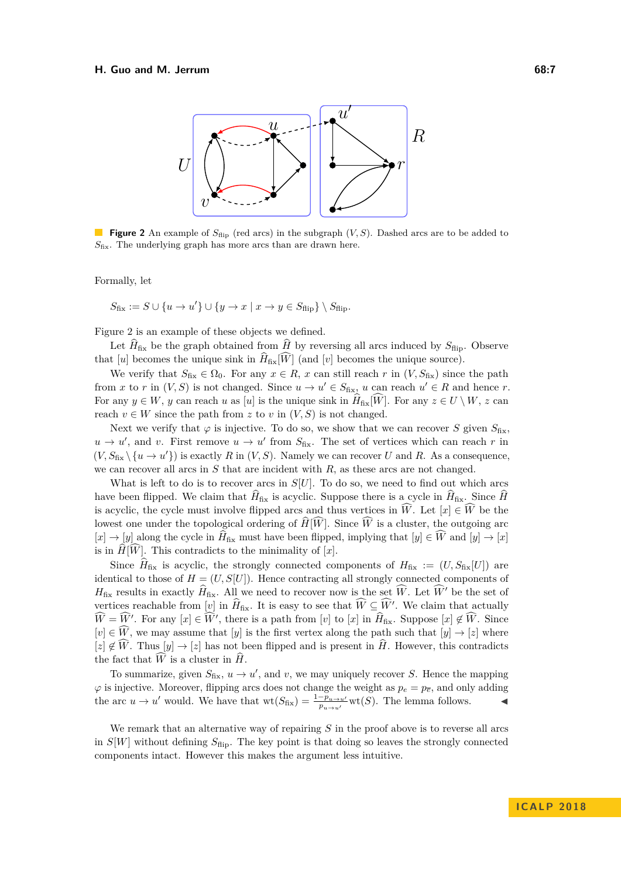#### <span id="page-6-0"></span>**H. Guo and M. Jerrum 68:7**



**Figure 2** An example of  $S_{\text{flip}}$  (red arcs) in the subgraph  $(V, S)$ . Dashed arcs are to be added to *S*fix. The underlying graph has more arcs than are drawn here.

Formally, let

$$
S_{\text{fix}} := S \cup \{u \to u'\} \cup \{y \to x \mid x \to y \in S_{\text{flip}}\} \setminus S_{\text{flip}}.
$$

Figure [2](#page-6-0) is an example of these objects we defined.

Let  $\hat{H}_{\text{fix}}$  be the graph obtained from  $\hat{H}$  by reversing all arcs induced by  $S_{\text{flip}}$ . Observe that [*u*] becomes the unique sink in  $\widehat{H}_{fix}[\widehat{W}]$  (and [*v*] becomes the unique source).

We verify that  $S_{fix} \in \Omega_0$ . For any  $x \in R$ , *x* can still reach *r* in  $(V, S_{fix})$  since the path from *x* to *r* in  $(V, S)$  is not changed. Since  $u \to u' \in S_{fix}$ , *u* can reach  $u' \in R$  and hence *r*. For any  $y \in W$ , *y* can reach *u* as [*u*] is the unique sink in  $H_{\text{fix}}[W]$ . For any  $z \in U \setminus W$ , *z* can reach  $v \in W$  since the path from *z* to *v* in  $(V, S)$  is not changed.

Next we verify that  $\varphi$  is injective. To do so, we show that we can recover *S* given  $S_{\text{fix}}$ .  $u \to u'$ , and *v*. First remove  $u \to u'$  from  $S_{fix}$ . The set of vertices which can reach *r* in  $(V, S_{\text{fix}} \setminus \{u \to u'\})$  is exactly R in  $(V, S)$ . Namely we can recover U and R. As a consequence, we can recover all arcs in *S* that are incident with *R*, as these arcs are not changed.

What is left to do is to recover arcs in  $S[U]$ . To do so, we need to find out which arcs have been flipped. We claim that  $\hat{H}_{fix}$  is acyclic. Suppose there is a cycle in  $\hat{H}_{fix}$ . Since  $\hat{H}$ is acyclic, the cycle must involve flipped arcs and thus vertices in  $\hat{W}$ . Let  $[x] \in \hat{W}$  be the lowest one under the topological ordering of  $\widehat{H}[\widehat{W}]$ . Since  $\widehat{W}$  is a cluster, the outgoing arc  $[x] \rightarrow [y]$  along the cycle in  $\hat{H}_{fix}$  must have been flipped, implying that  $[y] \in \hat{W}$  and  $[y] \rightarrow [x]$ is in  $H[W]$ . This contradicts to the minimality of  $[x]$ .

Since  $\hat{H}_{\text{fix}}$  is acyclic, the strongly connected components of  $H_{\text{fix}} := (U, S_{\text{fix}}[U])$  are identical to those of  $H = (U, S[U])$ . Hence contracting all strongly connected components of  $H_{fix}$  results in exactly  $\widehat{H}_{fix}$ . All we need to recover now is the set  $\widehat{W}$ . Let  $\widehat{W}'$  be the set of vertices reachable from  $[v]$  in  $\hat{H}_{fix}$ . It is easy to see that  $\hat{W} \subseteq \hat{W}'$ . We claim that actually  $\widehat{W} = \widehat{W}'$ . For any  $[x] \in \widehat{W}'$ , there is a path from  $[v]$  to  $[x]$  in  $\widehat{H}_{\text{fix}}$ . Suppose  $[x] \notin \widehat{W}$ . Since  $[v] \in \widehat{W}$ , we may assume that  $[y]$  is the first vertex along the path such that  $[y] \to [z]$  where  $[z] \notin \widehat{W}$ . Thus  $[y] \to [z]$  has not been flipped and is present in  $\widehat{H}$ . However, this contradicts the fact that  $\widehat{W}$  is a cluster in  $\widehat{H}$ .

To summarize, given  $S_{\text{fix}}$ ,  $u \to u'$ , and *v*, we may uniquely recover *S*. Hence the mapping  $\varphi$  is injective. Moreover, flipping arcs does not change the weight as  $p_e = p_{\overline{e}}$ , and only adding the arc  $u \to u'$  would. We have that  $\text{wt}(S_{\text{fix}}) = \frac{1-p_{u \to u'}}{p_{u \to u'}} \text{wt}(S)$ . The lemma follows.

We remark that an alternative way of repairing *S* in the proof above is to reverse all arcs in  $S[W]$  without defining  $S_{\text{flip}}$ . The key point is that doing so leaves the strongly connected components intact. However this makes the argument less intuitive.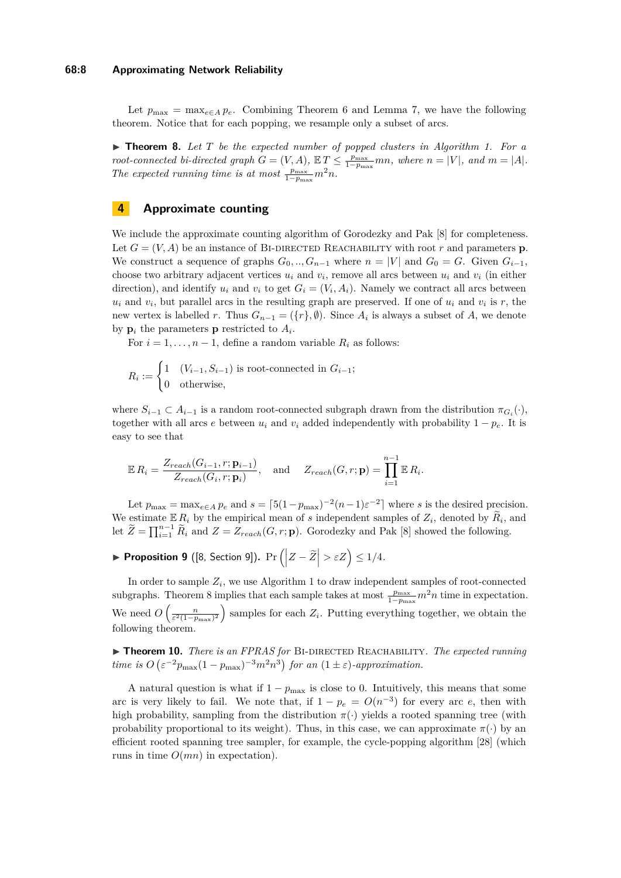#### **68:8 Approximating Network Reliability**

Let  $p_{\text{max}} = \max_{e \in A} p_e$ . Combining Theorem [6](#page-4-3) and Lemma [7,](#page-5-1) we have the following theorem. Notice that for each popping, we resample only a subset of arcs.

<span id="page-7-1"></span>▶ **Theorem 8.** Let *T* be the expected number of popped clusters in Algorithm [1.](#page-4-2) For a *root-connected bi-directed graph*  $G = (V, A)$ ,  $\mathbb{E} T \le \frac{p_{\text{max}}}{1-p_{\text{max}}} mn$ , where  $n = |V|$ , and  $m = |A|$ . The expected running time is at most  $\frac{p_{\text{max}}}{1-p_{\text{max}}}m^2n$ .

# <span id="page-7-0"></span>**4 Approximate counting**

We include the approximate counting algorithm of Gorodezky and Pak [\[8\]](#page-11-0) for completeness. Let  $G = (V, A)$  be an instance of BI-DIRECTED REACHABILITY with root r and parameters **p**. We construct a sequence of graphs  $G_0, ..., G_{n-1}$  where  $n = |V|$  and  $G_0 = G$ . Given  $G_{i-1}$ , choose two arbitrary adjacent vertices  $u_i$  and  $v_i$ , remove all arcs between  $u_i$  and  $v_i$  (in either direction), and identify  $u_i$  and  $v_i$  to get  $G_i = (V_i, A_i)$ . Namely we contract all arcs between  $u_i$  and  $v_i$ , but parallel arcs in the resulting graph are preserved. If one of  $u_i$  and  $v_i$  is  $r$ , the new vertex is labelled *r*. Thus  $G_{n-1} = (\{r\}, \emptyset)$ . Since  $A_i$  is always a subset of  $A$ , we denote by  $\mathbf{p}_i$  the parameters  $\mathbf{p}$  restricted to  $A_i$ .

For  $i = 1, \ldots, n-1$ , define a random variable  $R_i$  as follows:

$$
R_i := \begin{cases} 1 & (V_{i-1}, S_{i-1}) \text{ is root-connected in } G_{i-1}; \\ 0 & \text{otherwise}, \end{cases}
$$

where  $S_{i-1} \subset A_{i-1}$  is a random root-connected subgraph drawn from the distribution  $\pi_{G_i}(\cdot)$ , together with all arcs *e* between  $u_i$  and  $v_i$  added independently with probability  $1 - p_e$ . It is easy to see that

$$
\mathbb{E}\,R_i = \frac{Z_{reach}(G_{i-1}, r; \mathbf{p}_{i-1})}{Z_{reach}(G_i, r; \mathbf{p}_i)}, \quad \text{and} \quad Z_{reach}(G, r; \mathbf{p}) = \prod_{i=1}^{n-1} \mathbb{E}\,R_i.
$$

Let  $p_{\text{max}} = \max_{e \in A} p_e$  and  $s = \lceil 5(1 - p_{\text{max}})^{-2}(n-1)\varepsilon^{-2} \rceil$  where *s* is the desired precision. We estimate  $\mathbb{E} R_i$  by the empirical mean of *s* independent samples of  $Z_i$ , denoted by  $\widetilde{R}_i$ , and let  $\widetilde{Z} = \prod_{i=1}^{n-1} \widetilde{R}_i$  and  $Z = Z_{reach}(G, r; \mathbf{p})$ . Gorodezky and Pak [\[8\]](#page-11-0) showed the following.

▶ Proposition 9 ([\[8,](#page-11-0) Section 9]).  $Pr( |Z - \widetilde{Z}| > εZ ) ≤ 1/4.$ 

In order to sample  $Z_i$ , we use Algorithm [1](#page-4-2) to draw independent samples of root-connected subgraphs. Theorem [8](#page-7-1) implies that each sample takes at most  $\frac{p_{\text{max}}}{1-p_{\text{max}}} m^2 n$  time in expectation. We need  $O\left(\frac{n}{\varepsilon^2(1-p_{\text{max}})^2}\right)$  samples for each  $Z_i$ . Putting everything together, we obtain the following theorem.

<span id="page-7-2"></span>▶ **Theorem 10.** *There is an FPRAS for* BI-DIRECTED REACHABILITY*. The expected running time is*  $O\left(\varepsilon^{-2}p_{\text{max}}(1-p_{\text{max}})^{-3}m^2n^3\right)$  for an  $(1 \pm \varepsilon)$ -approximation.

A natural question is what if  $1 - p_{\text{max}}$  is close to 0. Intuitively, this means that some arc is very likely to fail. We note that, if  $1 - p_e = O(n^{-3})$  for every arc *e*, then with high probability, sampling from the distribution  $\pi(\cdot)$  yields a rooted spanning tree (with probability proportional to its weight). Thus, in this case, we can approximate  $\pi(\cdot)$  by an efficient rooted spanning tree sampler, for example, the cycle-popping algorithm [\[28\]](#page-11-19) (which runs in time *O*(*mn*) in expectation).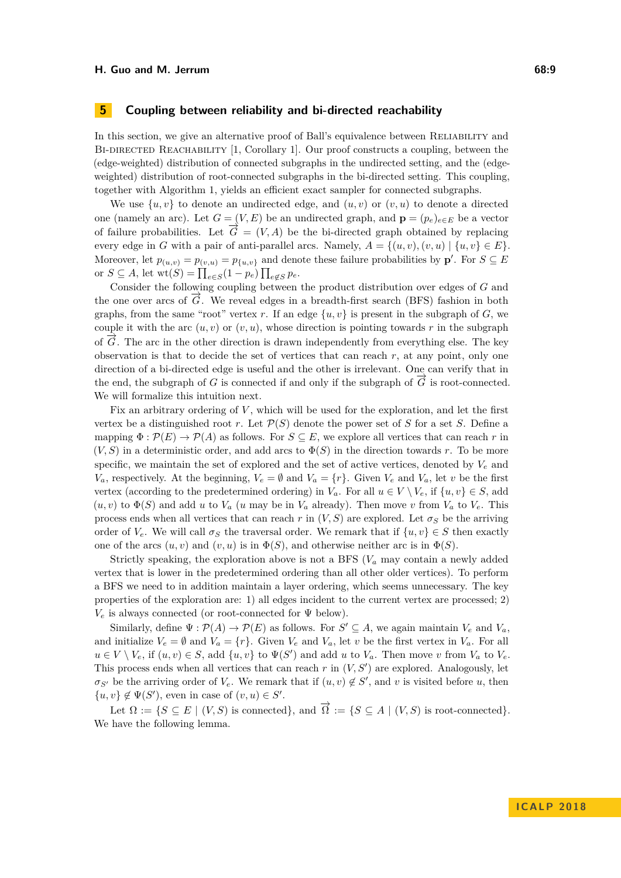## <span id="page-8-0"></span>**5 Coupling between reliability and bi-directed reachability**

In this section, we give an alternative proof of Ball's equivalence between RELIABILITY and BI-DIRECTED REACHABILITY [\[1,](#page-10-2) Corollary 1]. Our proof constructs a coupling, between the (edge-weighted) distribution of connected subgraphs in the undirected setting, and the (edgeweighted) distribution of root-connected subgraphs in the bi-directed setting. This coupling, together with Algorithm [1,](#page-4-2) yields an efficient exact sampler for connected subgraphs.

We use  $\{u, v\}$  to denote an undirected edge, and  $(u, v)$  or  $(v, u)$  to denote a directed one (namely an arc). Let  $G = (V, E)$  be an undirected graph, and  $\mathbf{p} = (p_e)_{e \in E}$  be a vector of failure probabilities. Let  $\overline{G} = (V, A)$  be the bi-directed graph obtained by replacing every edge in *G* with a pair of anti-parallel arcs. Namely,  $A = \{(u, v), (v, u) | \{u, v\} \in E\}$ . Moreover, let  $p_{(u,v)} = p_{(v,u)} = p_{\{u,v\}}$  and denote these failure probabilities by  $\mathbf{p}'$ . For  $S \subseteq E$ or  $S \subseteq A$ , let  $\text{wt}(S) = \prod_{e \in S} (1 - p_e) \prod_{e \notin S} p_e$ .

Consider the following coupling between the product distribution over edges of *G* and the one over arcs of  $\tilde{G}$ . We reveal edges in a breadth-first search (BFS) fashion in both graphs, from the same "root" vertex r. If an edge  $\{u, v\}$  is present in the subgraph of *G*, we couple it with the arc  $(u, v)$  or  $(v, u)$ , whose direction is pointing towards r in the subgraph of  $\vec{G}$ . The arc in the other direction is drawn independently from everything else. The key observation is that to decide the set of vertices that can reach  $r$ , at any point, only one direction of a bi-directed edge is useful and the other is irrelevant. One can verify that in the end, the subgraph of *G* is connected if and only if the subgraph of  $\vec{G}$  is root-connected. We will formalize this intuition next.

Fix an arbitrary ordering of V, which will be used for the exploration, and let the first vertex be a distinguished root *r*. Let  $\mathcal{P}(S)$  denote the power set of *S* for a set *S*. Define a mapping  $\Phi : \mathcal{P}(E) \to \mathcal{P}(A)$  as follows. For  $S \subseteq E$ , we explore all vertices that can reach r in  $(V, S)$  in a deterministic order, and add arcs to  $\Phi(S)$  in the direction towards *r*. To be more specific, we maintain the set of explored and the set of active vertices, denoted by  $V_e$  and *V<sub>a</sub>*, respectively. At the beginning,  $V_e = \emptyset$  and  $V_a = \{r\}$ . Given  $V_e$  and  $V_a$ , let *v* be the first vertex (according to the predetermined ordering) in  $V_a$ . For all  $u \in V \setminus V_e$ , if  $\{u, v\} \in S$ , add  $(u, v)$  to  $\Phi(S)$  and add *u* to  $V_a$  (*u* may be in  $V_a$  already). Then move *v* from  $V_a$  to  $V_e$ . This process ends when all vertices that can reach  $r$  in  $(V, S)$  are explored. Let  $\sigma_S$  be the arriving order of  $V_e$ . We will call  $\sigma_S$  the traversal order. We remark that if  $\{u, v\} \in S$  then exactly one of the arcs  $(u, v)$  and  $(v, u)$  is in  $\Phi(S)$ , and otherwise neither arc is in  $\Phi(S)$ .

Strictly speaking, the exploration above is not a BFS  $(V_a$  may contain a newly added vertex that is lower in the predetermined ordering than all other older vertices). To perform a BFS we need to in addition maintain a layer ordering, which seems unnecessary. The key properties of the exploration are: 1) all edges incident to the current vertex are processed; 2)  $V_e$  is always connected (or root-connected for  $\Psi$  below).

Similarly, define  $\Psi : \mathcal{P}(A) \to \mathcal{P}(E)$  as follows. For  $S' \subseteq A$ , we again maintain  $V_e$  and  $V_a$ , and initialize  $V_e = \emptyset$  and  $V_a = \{r\}$ . Given  $V_e$  and  $V_a$ , let *v* be the first vertex in  $V_a$ . For all  $u \in V \setminus V_e$ , if  $(u, v) \in S$ , add  $\{u, v\}$  to  $\Psi(S')$  and add *u* to  $V_a$ . Then move *v* from  $V_a$  to  $V_e$ . This process ends when all vertices that can reach  $r$  in  $(V, S')$  are explored. Analogously, let  $\sigma_{S'}$  be the arriving order of  $V_e$ . We remark that if  $(u, v) \notin S'$ , and *v* is visited before *u*, then  $\{u, v\} \notin \Psi(S')$ , even in case of  $(v, u) \in S'$ .

<span id="page-8-1"></span>Let  $\Omega := \{ S \subseteq E \mid (V, S) \text{ is connected} \}, \text{ and } \overrightarrow{\Omega} := \{ S \subseteq A \mid (V, S) \text{ is root-connected} \}.$ We have the following lemma.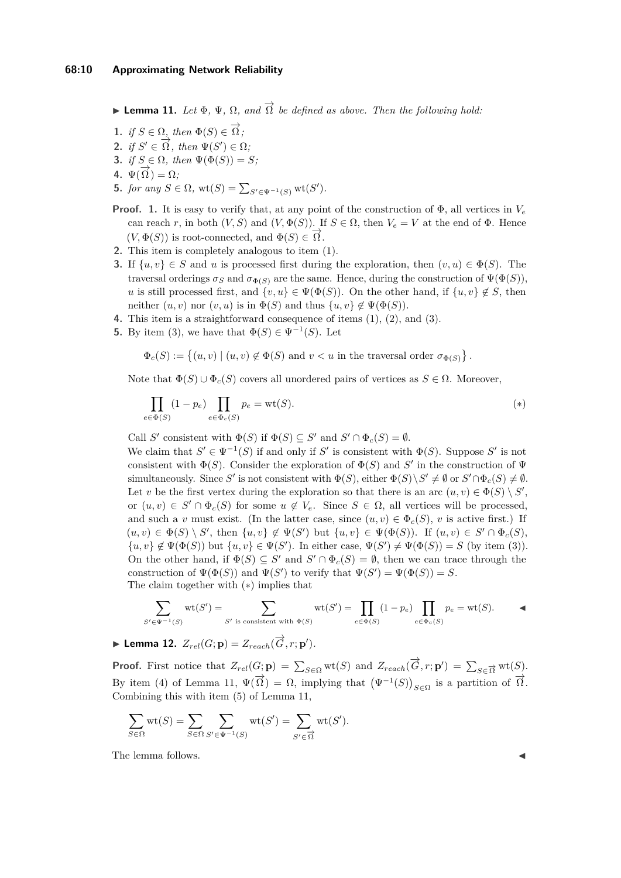**► Lemma 11.** *Let*  $Φ$ *,*  $Ψ$ *,*  $Ω$ *, and*  $\overrightarrow{\Omega}$  *be defined as above. Then the following hold:* 

- <span id="page-9-1"></span>**1.** *if*  $S \in \Omega$ *, then*  $\Phi(S) \in \overrightarrow{\Omega}$ *;*
- <span id="page-9-2"></span>**2.** *if*  $S' \in \overrightarrow{\Omega}$ *, then*  $\Psi(S') \in \Omega$ *;*
- <span id="page-9-3"></span>**3.** *if*  $S \in \Omega$ *, then*  $\Psi(\Phi(S)) = S$ *;*
- <span id="page-9-5"></span>**4.**  $\Psi(\overrightarrow{\Omega}) = \Omega$ ;
- <span id="page-9-6"></span>**5.** *for any*  $S \in \Omega$ ,  $\text{wt}(S) = \sum_{S' \in \Psi^{-1}(S)} \text{wt}(S')$ .
- **Proof. 1.** It is easy to verify that, at any point of the construction of  $\Phi$ , all vertices in  $V_e$ can reach *r*, in both  $(V, S)$  and  $(V, \Phi(S))$ . If  $S \in \Omega$ , then  $V_e = V$  at the end of  $\Phi$ . Hence (*V*,  $\Phi(S)$ ) is root-connected, and  $\Phi(S) \in \overrightarrow{\Omega}$ .
- **2.** This item is completely analogous to item [\(1\)](#page-9-1).
- **3.** If  $\{u, v\} \in S$  and *u* is processed first during the exploration, then  $(v, u) \in \Phi(S)$ . The traversal orderings  $\sigma_S$  and  $\sigma_{\Phi(S)}$  are the same. Hence, during the construction of  $\Psi(\Phi(S))$ , *u* is still processed first, and  $\{v, u\} \in \Psi(\Phi(S))$ . On the other hand, if  $\{u, v\} \notin S$ , then neither  $(u, v)$  nor  $(v, u)$  is in  $\Phi(S)$  and thus  $\{u, v\} \notin \Psi(\Phi(S))$ .
- **4.** This item is a straightforward consequence of items [\(1\)](#page-9-1), [\(2\)](#page-9-2), and [\(3\)](#page-9-3).
- **5.** By item [\(3\)](#page-9-3), we have that  $\Phi(S) \in \Psi^{-1}(S)$ . Let

$$
\Phi_c(S) := \left\{ (u, v) \mid (u, v) \notin \Phi(S) \text{ and } v < u \text{ in the traversal order } \sigma_{\Phi(S)} \right\}.
$$

Note that  $\Phi(S) \cup \Phi_c(S)$  covers all unordered pairs of vertices as  $S \in \Omega$ . Moreover,

<span id="page-9-4"></span>
$$
\prod_{e \in \Phi(S)} (1 - p_e) \prod_{e \in \Phi_c(S)} p_e = \text{wt}(S). \tag{*}
$$

Call *S*<sup> $\prime$ </sup> consistent with  $\Phi(S)$  if  $\Phi(S) \subseteq S'$  and  $S' \cap \Phi_c(S) = \emptyset$ .

We claim that  $S' \in \Psi^{-1}(S)$  if and only if  $S'$  is consistent with  $\Phi(S)$ . Suppose  $S'$  is not consistent with  $\Phi(S)$ . Consider the exploration of  $\Phi(S)$  and S' in the construction of  $\Psi$ simultaneously. Since *S'* is not consistent with  $\Phi(S)$ , either  $\Phi(S) \setminus S' \neq \emptyset$  or  $S' \cap \Phi_c(S) \neq \emptyset$ . Let *v* be the first vertex during the exploration so that there is an arc  $(u, v) \in \Phi(S) \setminus S'$ , or  $(u, v) \in S' \cap \Phi_c(S)$  for some  $u \notin V_e$ . Since  $S \in \Omega$ , all vertices will be processed, and such a *v* must exist. (In the latter case, since  $(u, v) \in \Phi_c(S)$ , *v* is active first.) If  $(u, v) \in \Phi(S) \setminus S'$ , then  $\{u, v\} \notin \Psi(S')$  but  $\{u, v\} \in \Psi(\Phi(S))$ . If  $(u, v) \in S' \cap \Phi_c(S)$ ,  $\{u, v\} \notin \Psi(\Phi(S))$  but  $\{u, v\} \in \Psi(S')$ . In either case,  $\Psi(S') \neq \Psi(\Phi(S)) = S$  (by item [\(3\)](#page-9-3)). On the other hand, if  $\Phi(S) \subseteq S'$  and  $S' \cap \Phi_c(S) = \emptyset$ , then we can trace through the construction of  $\Psi(\Phi(S))$  and  $\Psi(S')$  to verify that  $\Psi(S') = \Psi(\Phi(S)) = S$ . The claim together with ([∗](#page-9-4)) implies that

$$
\sum_{S' \in \Psi^{-1}(S)} \operatorname{wt}(S') = \sum_{S' \text{ is consistent with } \Phi(S)} \operatorname{wt}(S') = \prod_{e \in \Phi(S)} (1 - p_e) \prod_{e \in \Phi_c(S)} p_e = \operatorname{wt}(S).
$$

<span id="page-9-0"></span>▶ Lemma 12.  $Z_{rel}(G; \mathbf{p}) = Z_{reach}(\overrightarrow{G}, r; \mathbf{p}').$ 

**Proof.** First notice that  $Z_{rel}(G; \mathbf{p}) = \sum_{S \in \Omega} \text{wt}(S)$  and  $Z_{reach}(\vec{G}, r; \mathbf{p}') = \sum_{S \in \vec{\Omega}} \text{wt}(S)$ . By item [\(4\)](#page-9-5) of Lemma [11,](#page-8-1)  $\Psi(\vec{\Omega}) = \Omega$ , implying that  $(\Psi^{-1}(S))_{S \in \Omega}$  is a partition of  $\vec{\Omega}$ . Combining this with item [\(5\)](#page-9-6) of Lemma [11,](#page-8-1)

$$
\sum_{S \in \Omega} \text{wt}(S) = \sum_{S \in \Omega} \sum_{S' \in \Psi^{-1}(S)} \text{wt}(S') = \sum_{S' \in \overrightarrow{\Omega}} \text{wt}(S').
$$

The lemma follows.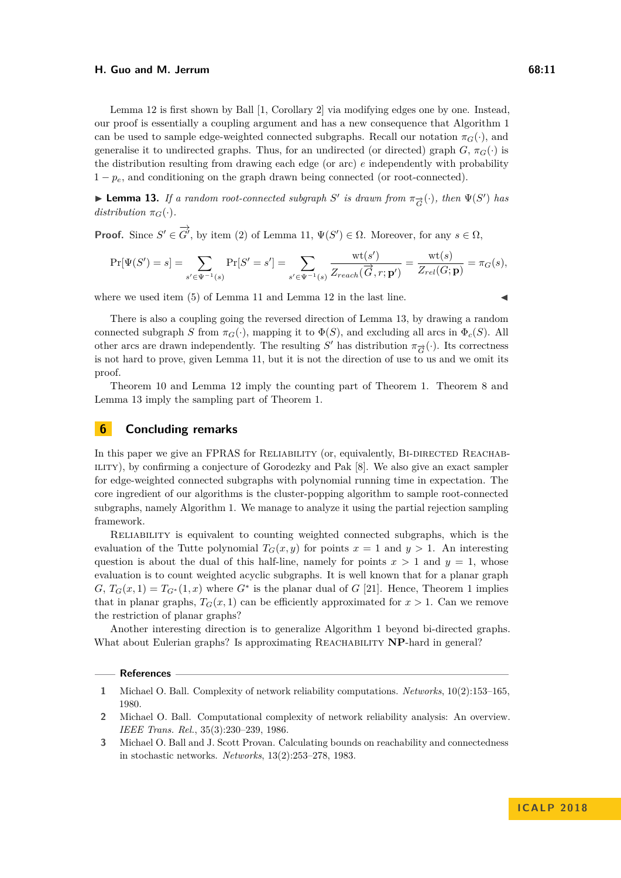#### **H. Guo and M. Jerrum 68:11**

Lemma [12](#page-9-0) is first shown by Ball [\[1,](#page-10-2) Corollary 2] via modifying edges one by one. Instead, our proof is essentially a coupling argument and has a new consequence that Algorithm [1](#page-4-2) can be used to sample edge-weighted connected subgraphs. Recall our notation  $\pi_G(\cdot)$ , and generalise it to undirected graphs. Thus, for an undirected (or directed) graph  $G$ ,  $\pi_G(\cdot)$  is the distribution resulting from drawing each edge (or arc) *e* independently with probability  $1 - p_e$ , and conditioning on the graph drawn being connected (or root-connected).

<span id="page-10-4"></span>► **Lemma 13.** *If a random root-connected subgraph S*<sup> $\prime$ </sup> *is drawn from*  $\pi_{\vec{G}}(\cdot)$ *, then*  $\Psi(S')$  *has distribution*  $\pi_G(\cdot)$ *.* 

**Proof.** Since  $S' \in \overrightarrow{G}'$ , by item [\(2\)](#page-9-2) of Lemma [11,](#page-8-1)  $\Psi(S') \in \Omega$ . Moreover, for any  $s \in \Omega$ ,

$$
\Pr[\Psi(S') = s] = \sum_{s' \in \Psi^{-1}(s)} \Pr[S' = s'] = \sum_{s' \in \Psi^{-1}(s)} \frac{\text{wt}(s')}{Z_{reach}(\overrightarrow{G}, r; \mathbf{p}')} = \frac{\text{wt}(s)}{Z_{rel}(G; \mathbf{p})} = \pi_G(s),
$$

where we used item  $(5)$  of Lemma [11](#page-8-1) and Lemma [12](#page-9-0) in the last line.

There is also a coupling going the reversed direction of Lemma [13,](#page-10-4) by drawing a random connected subgraph *S* from  $\pi_G(\cdot)$ , mapping it to  $\Phi(S)$ , and excluding all arcs in  $\Phi_c(S)$ . All other arcs are drawn independently. The resulting  $S'$  has distribution  $\pi_{\overrightarrow{G}}(\cdot)$ . Its correctness is not hard to prove, given Lemma [11,](#page-8-1) but it is not the direction of use to us and we omit its proof.

Theorem [10](#page-7-2) and Lemma [12](#page-9-0) imply the counting part of Theorem [1.](#page-2-1) Theorem [8](#page-7-1) and Lemma [13](#page-10-4) imply the sampling part of Theorem [1.](#page-2-1)

# <span id="page-10-3"></span>**6 Concluding remarks**

In this paper we give an FPRAS for RELIABILITY (or, equivalently, BI-DIRECTED REACHAB-ILITY), by confirming a conjecture of Gorodezky and Pak [\[8\]](#page-11-0). We also give an exact sampler for edge-weighted connected subgraphs with polynomial running time in expectation. The core ingredient of our algorithms is the cluster-popping algorithm to sample root-connected subgraphs, namely Algorithm [1.](#page-4-2) We manage to analyze it using the partial rejection sampling framework.

Reliability is equivalent to counting weighted connected subgraphs, which is the evaluation of the Tutte polynomial  $T_G(x, y)$  for points  $x = 1$  and  $y > 1$ . An interesting question is about the dual of this half-line, namely for points  $x > 1$  and  $y = 1$ , whose evaluation is to count weighted acyclic subgraphs. It is well known that for a planar graph  $G, T_G(x,1) = T_{G^*}(1,x)$  where  $G^*$  is the planar dual of  $G$  [\[21\]](#page-11-25). Hence, Theorem [1](#page-2-1) implies that in planar graphs,  $T_G(x, 1)$  can be efficiently approximated for  $x > 1$ . Can we remove the restriction of planar graphs?

Another interesting direction is to generalize Algorithm [1](#page-4-2) beyond bi-directed graphs. What about Eulerian graphs? Is approximating REACHABILITY **NP**-hard in general?

#### **References**

<span id="page-10-2"></span>**<sup>1</sup>** Michael O. Ball. Complexity of network reliability computations. *Networks*, 10(2):153–165, 1980.

<span id="page-10-1"></span>**<sup>2</sup>** Michael O. Ball. Computational complexity of network reliability analysis: An overview. *IEEE Trans. Rel.*, 35(3):230–239, 1986.

<span id="page-10-0"></span>**<sup>3</sup>** Michael O. Ball and J. Scott Provan. Calculating bounds on reachability and connectedness in stochastic networks. *Networks*, 13(2):253–278, 1983.